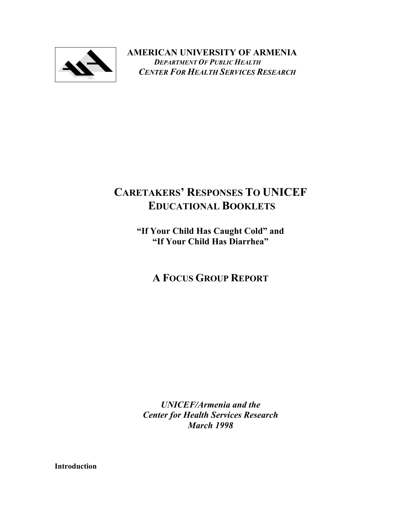

**AMERICAN UNIVERSITY OF ARMENIA**   *DEPARTMENT OF PUBLIC HEALTH CENTER FOR HEALTH SERVICES RESEARCH*

# **CARETAKERS' RESPONSES TO UNICEF EDUCATIONAL BOOKLETS**

**"If Your Child Has Caught Cold" and "If Your Child Has Diarrhea"** 

**A FOCUS GROUP REPORT** 

*UNICEF/Armenia and the Center for Health Services Research March 1998* 

**Introduction**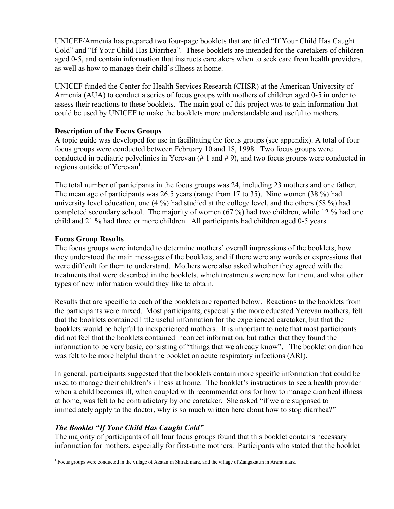UNICEF/Armenia has prepared two four-page booklets that are titled "If Your Child Has Caught Cold" and "If Your Child Has Diarrhea". These booklets are intended for the caretakers of children aged 0-5, and contain information that instructs caretakers when to seek care from health providers, as well as how to manage their child's illness at home.

UNICEF funded the Center for Health Services Research (CHSR) at the American University of Armenia (AUA) to conduct a series of focus groups with mothers of children aged 0-5 in order to assess their reactions to these booklets. The main goal of this project was to gain information that could be used by UNICEF to make the booklets more understandable and useful to mothers.

#### **Description of the Focus Groups**

A topic guide was developed for use in facilitating the focus groups (see appendix). A total of four focus groups were conducted between February 10 and 18, 1998. Two focus groups were conducted in pediatric polyclinics in Yerevan  $(\# 1 \text{ and } \# 9)$ , and two focus groups were conducted in regions outside of Yerevan<sup>[1](#page-1-0)</sup>.

The total number of participants in the focus groups was 24, including 23 mothers and one father. The mean age of participants was 26.5 years (range from 17 to 35). Nine women (38 %) had university level education, one (4 %) had studied at the college level, and the others (58 %) had completed secondary school. The majority of women (67 %) had two children, while 12 % had one child and 21 % had three or more children. All participants had children aged 0-5 years.

### **Focus Group Results**

The focus groups were intended to determine mothers' overall impressions of the booklets, how they understood the main messages of the booklets, and if there were any words or expressions that were difficult for them to understand. Mothers were also asked whether they agreed with the treatments that were described in the booklets, which treatments were new for them, and what other types of new information would they like to obtain.

Results that are specific to each of the booklets are reported below. Reactions to the booklets from the participants were mixed. Most participants, especially the more educated Yerevan mothers, felt that the booklets contained little useful information for the experienced caretaker, but that the booklets would be helpful to inexperienced mothers. It is important to note that most participants did not feel that the booklets contained incorrect information, but rather that they found the information to be very basic, consisting of "things that we already know". The booklet on diarrhea was felt to be more helpful than the booklet on acute respiratory infections (ARI).

In general, participants suggested that the booklets contain more specific information that could be used to manage their children's illness at home. The booklet's instructions to see a health provider when a child becomes ill, when coupled with recommendations for how to manage diarrheal illness at home, was felt to be contradictory by one caretaker. She asked "if we are supposed to immediately apply to the doctor, why is so much written here about how to stop diarrhea?"

# *The Booklet "If Your Child Has Caught Cold"*

The majority of participants of all four focus groups found that this booklet contains necessary information for mothers, especially for first-time mothers. Participants who stated that the booklet

<span id="page-1-0"></span><sup>-</sup><sup>1</sup> Focus groups were conducted in the village of Azatan in Shirak marz, and the village of Zangakatun in Ararat marz.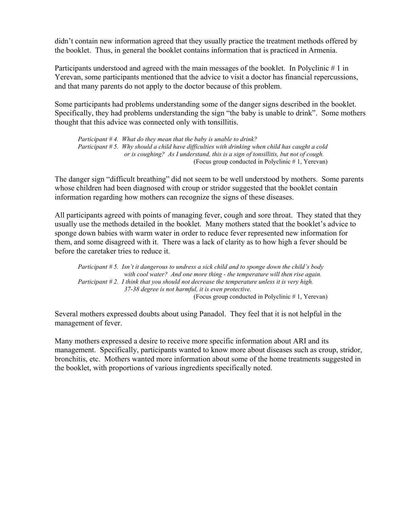didn't contain new information agreed that they usually practice the treatment methods offered by the booklet. Thus, in general the booklet contains information that is practiced in Armenia.

Participants understood and agreed with the main messages of the booklet. In Polyclinic # 1 in Yerevan, some participants mentioned that the advice to visit a doctor has financial repercussions, and that many parents do not apply to the doctor because of this problem.

Some participants had problems understanding some of the danger signs described in the booklet. Specifically, they had problems understanding the sign "the baby is unable to drink". Some mothers thought that this advice was connected only with tonsillitis.

*Participant # 4. What do they mean that the baby is unable to drink? Participant # 5. Why should a child have difficulties with drinking when child has caught a cold or is coughing? As I understand, this is a sign of tonsillitis, but not of cough.*  (Focus group conducted in Polyclinic # 1, Yerevan)

The danger sign "difficult breathing" did not seem to be well understood by mothers. Some parents whose children had been diagnosed with croup or stridor suggested that the booklet contain information regarding how mothers can recognize the signs of these diseases.

All participants agreed with points of managing fever, cough and sore throat. They stated that they usually use the methods detailed in the booklet. Many mothers stated that the booklet's advice to sponge down babies with warm water in order to reduce fever represented new information for them, and some disagreed with it. There was a lack of clarity as to how high a fever should be before the caretaker tries to reduce it.

*Participant # 5. Isn't it dangerous to undress a sick child and to sponge down the child's body with cool water? And one more thing - the temperature will then rise again. Participant # 2. I think that you should not decrease the temperature unless it is very high. 37-38 degree is not harmful, it is even protective.*  (Focus group conducted in Polyclinic # 1, Yerevan)

Several mothers expressed doubts about using Panadol. They feel that it is not helpful in the management of fever.

Many mothers expressed a desire to receive more specific information about ARI and its management. Specifically, participants wanted to know more about diseases such as croup, stridor, bronchitis, etc. Mothers wanted more information about some of the home treatments suggested in the booklet, with proportions of various ingredients specifically noted.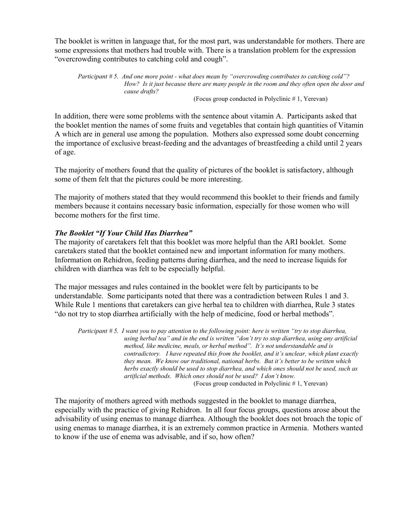The booklet is written in language that, for the most part, was understandable for mothers. There are some expressions that mothers had trouble with. There is a translation problem for the expression "overcrowding contributes to catching cold and cough".

*Participant # 5. And one more point - what does mean by "overcrowding contributes to catching cold"? How? Is it just because there are many people in the room and they often open the door and cause drafts?* 

(Focus group conducted in Polyclinic # 1, Yerevan)

In addition, there were some problems with the sentence about vitamin A. Participants asked that the booklet mention the names of some fruits and vegetables that contain high quantities of Vitamin A which are in general use among the population. Mothers also expressed some doubt concerning the importance of exclusive breast-feeding and the advantages of breastfeeding a child until 2 years of age.

The majority of mothers found that the quality of pictures of the booklet is satisfactory, although some of them felt that the pictures could be more interesting.

The majority of mothers stated that they would recommend this booklet to their friends and family members because it contains necessary basic information, especially for those women who will become mothers for the first time.

#### *The Booklet "If Your Child Has Diarrhea"*

The majority of caretakers felt that this booklet was more helpful than the ARI booklet. Some caretakers stated that the booklet contained new and important information for many mothers. Information on Rehidron, feeding patterns during diarrhea, and the need to increase liquids for children with diarrhea was felt to be especially helpful.

The major messages and rules contained in the booklet were felt by participants to be understandable. Some participants noted that there was a contradiction between Rules 1 and 3. While Rule 1 mentions that caretakers can give herbal tea to children with diarrhea, Rule 3 states "do not try to stop diarrhea artificially with the help of medicine, food or herbal methods".

*Participant # 5. I want you to pay attention to the following point: here is written "try to stop diarrhea, using herbal tea" and in the end is written "don't try to stop diarrhea, using any artificial method, like medicine, meals, or herbal method". It's not understandable and is contradictory. I have repeated this from the booklet, and it's unclear, which plant exactly they mean. We know our traditional, national herbs. But it's better to be written which herbs exactly should be used to stop diarrhea, and which ones should not be used, such as artificial methods. Which ones should not be used? I don't know.*  (Focus group conducted in Polyclinic # 1, Yerevan)

The majority of mothers agreed with methods suggested in the booklet to manage diarrhea, especially with the practice of giving Rehidron. In all four focus groups, questions arose about the advisability of using enemas to manage diarrhea. Although the booklet does not broach the topic of using enemas to manage diarrhea, it is an extremely common practice in Armenia. Mothers wanted to know if the use of enema was advisable, and if so, how often?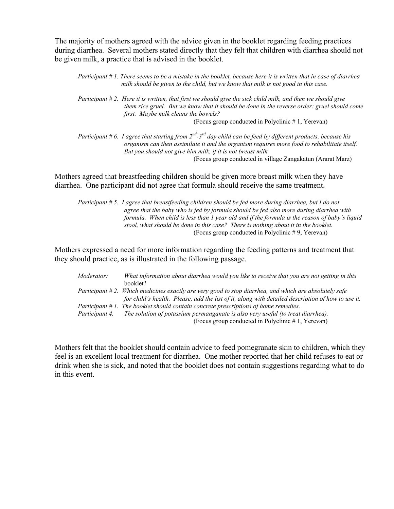The majority of mothers agreed with the advice given in the booklet regarding feeding practices during diarrhea. Several mothers stated directly that they felt that children with diarrhea should not be given milk, a practice that is advised in the booklet.

*Participant # 1. There seems to be a mistake in the booklet, because here it is written that in case of diarrhea milk should be given to the child, but we know that milk is not good in this case.* 

*Participant # 2. Here it is written, that first we should give the sick child milk, and then we should give them rice gruel. But we know that it should be done in the reverse order: gruel should come first. Maybe milk cleans the bowels?*  (Focus group conducted in Polyclinic # 1, Yerevan)

*Participant # 6. I agree that starting from 2nd-3rd day child can be feed by different products, because his organism can then assimilate it and the organism requires more food to rehabilitate itself. But you should not give him milk, if it is not breast milk.*  (Focus group conducted in village Zangakatun (Ararat Marz)

Mothers agreed that breastfeeding children should be given more breast milk when they have diarrhea. One participant did not agree that formula should receive the same treatment.

*Participant # 5. I agree that breastfeeding children should be fed more during diarrhea, but I do not agree that the baby who is fed by formula should be fed also more during diarrhea with formula. When child is less than 1 year old and if the formula is the reason of baby's liquid stool, what should be done in this case? There is nothing about it in the booklet.*  (Focus group conducted in Polyclinic # 9, Yerevan)

Mothers expressed a need for more information regarding the feeding patterns and treatment that they should practice, as is illustrated in the following passage.

| <i>Moderator:</i> | What information about diarrhea would you like to receive that you are not getting in this            |
|-------------------|-------------------------------------------------------------------------------------------------------|
|                   | booklet?                                                                                              |
|                   | Participant #2. Which medicines exactly are very good to stop diarrhea, and which are absolutely safe |
|                   | for child's health. Please, add the list of it, along with detailed description of how to use it.     |
|                   | Participant $# 1$ . The booklet should contain concrete prescriptions of home remedies.               |
|                   | Participant 4. The solution of potassium permanganate is also very useful (to treat diarrhea).        |
|                   | (Focus group conducted in Polyclinic #1, Yerevan)                                                     |

Mothers felt that the booklet should contain advice to feed pomegranate skin to children, which they feel is an excellent local treatment for diarrhea. One mother reported that her child refuses to eat or drink when she is sick, and noted that the booklet does not contain suggestions regarding what to do in this event.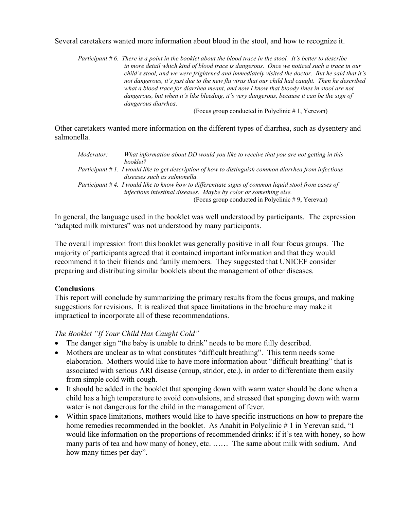Several caretakers wanted more information about blood in the stool, and how to recognize it.

*Participant # 6. There is a point in the booklet about the blood trace in the stool. It's better to describe in more detail which kind of blood trace is dangerous. Once we noticed such a trace in our child's stool, and we were frightened and immediately visited the doctor. But he said that it's not dangerous, it's just due to the new flu virus that our child had caught. Then he described what a blood trace for diarrhea meant, and now I know that bloody lines in stool are not dangerous, but when it's like bleeding, it's very dangerous, because it can be the sign of dangerous diarrhea.* 

(Focus group conducted in Polyclinic # 1, Yerevan)

Other caretakers wanted more information on the different types of diarrhea, such as dysentery and salmonella.

| Moderator: | What information about DD would you like to receive that you are not getting in this                     |
|------------|----------------------------------------------------------------------------------------------------------|
|            | booklet?                                                                                                 |
|            | Participant $#1$ . I would like to get description of how to distinguish common diarrhea from infectious |
|            | diseases such as salmonella.                                                                             |
|            | Participant #4. I would like to know how to differentiate signs of common liquid stool from cases of     |
|            | infectious intestinal diseases. Maybe by color or something else.                                        |
|            | (Focus group conducted in Polyclinic #9, Yerevan)                                                        |

In general, the language used in the booklet was well understood by participants. The expression "adapted milk mixtures" was not understood by many participants.

The overall impression from this booklet was generally positive in all four focus groups. The majority of participants agreed that it contained important information and that they would recommend it to their friends and family members. They suggested that UNICEF consider preparing and distributing similar booklets about the management of other diseases.

#### **Conclusions**

This report will conclude by summarizing the primary results from the focus groups, and making suggestions for revisions. It is realized that space limitations in the brochure may make it impractical to incorporate all of these recommendations.

#### *The Booklet "If Your Child Has Caught Cold"*

- The danger sign "the baby is unable to drink" needs to be more fully described.
- Mothers are unclear as to what constitutes "difficult breathing". This term needs some elaboration. Mothers would like to have more information about "difficult breathing" that is associated with serious ARI disease (croup, stridor, etc.), in order to differentiate them easily from simple cold with cough.
- It should be added in the booklet that sponging down with warm water should be done when a child has a high temperature to avoid convulsions, and stressed that sponging down with warm water is not dangerous for the child in the management of fever.
- Within space limitations, mothers would like to have specific instructions on how to prepare the home remedies recommended in the booklet. As Anahit in Polyclinic # 1 in Yerevan said, "I would like information on the proportions of recommended drinks: if it's tea with honey, so how many parts of tea and how many of honey, etc. ...... The same about milk with sodium. And how many times per day".